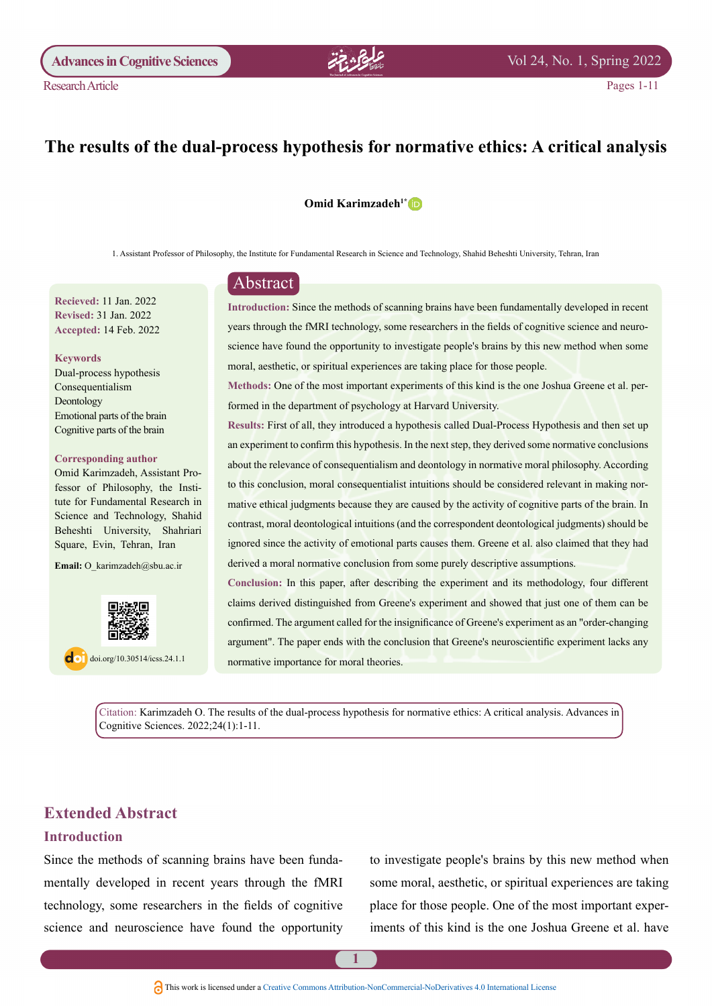# The results of the dual-process hypothesis for normative ethics: A critical analysis

#### **Omid Karimzadeh<sup>1[\\*](http://orcid.org/0000-0002-1225-2104)</sup> D**

1. Assistant Professor of Philosophy, the Institute for Fundamental Research in Science and Technology, Shahid Beheshti University, Tehran, Iran

**Recieved: 11 Jan 2022 Revised: 31 Jan. 2022** Accepted: 14 Feb. 2022

#### **Keywords**

**Research Article** 

Dual-process hypothesis Consequentialism Deontology Emotional parts of the brain Cognitive parts of the brain

#### **Corresponding author**

tute for Fundamental Research in fessor of Philosophy, the Insti-Omid Karimzadeh, Assistant Pro-Science and Technology, Shahid Beheshti University, Shahriari Square, Evin, Tehran, Iran

Email: O karimzadeh@sbu.ac.ir



 $\log$  doi.org/10.30514/icss.24.1.1

## Abstract

Introduction: Since the methods of scanning brains have been fundamentally developed in recent science have found the opportunity to investigate people's brains by this new method when some years through the fMRI technology, some researchers in the fields of cognitive science and neuromoral, aesthetic, or spiritual experiences are taking place for those people.

Methods: One of the most important experiments of this kind is the one Joshua Greene et al. per-<br>formed in the department of psychology at Harvard University.

Results: First of all, they introduced a hypothesis called Dual-Process Hypothesis and then set up an experiment to confirm this hypothesis. In the next step, they derived some normative conclusions about the relevance of consequentialism and deontology in normative moral philosophy. According mative ethical judgments because they are caused by the activity of cognitive parts of the brain. In to this conclusion, moral consequentialist intuitions should be considered relevant in making norcontrast, moral deontological intuitions (and the correspondent deontological judgments) should be ignored since the activity of emotional parts causes them. Greene et al. also claimed that they had derived a moral normative conclusion from some purely descriptive assumptions.

Conclusion: In this paper, after describing the experiment and its methodology, four different claims derived distinguished from Greene's experiment and showed that just one of them can be confirmed. The argument called for the insignificance of Greene's experiment as an "order-changing argument". The paper ends with the conclusion that Greene's neuroscientific experiment lacks any normative importance for moral theories.

Citation: Karimzadeh O. The results of the dual-process hypothesis for normative ethics: A critical analysis. Advances in Cognitive Sciences. 2022;24(1):1-11.

## **Extended Abstract**

## **Introduction**

mentally developed in recent years through the fMRI Since the methods of scanning brains have been fundatechnology, some researchers in the fields of cognitive science and neuroscience have found the opportunity to investigate people's brains by this new method when some moral, aesthetic, or spiritual experiences are taking iments of this kind is the one Joshua Greene et al. have place for those people. One of the most important exper-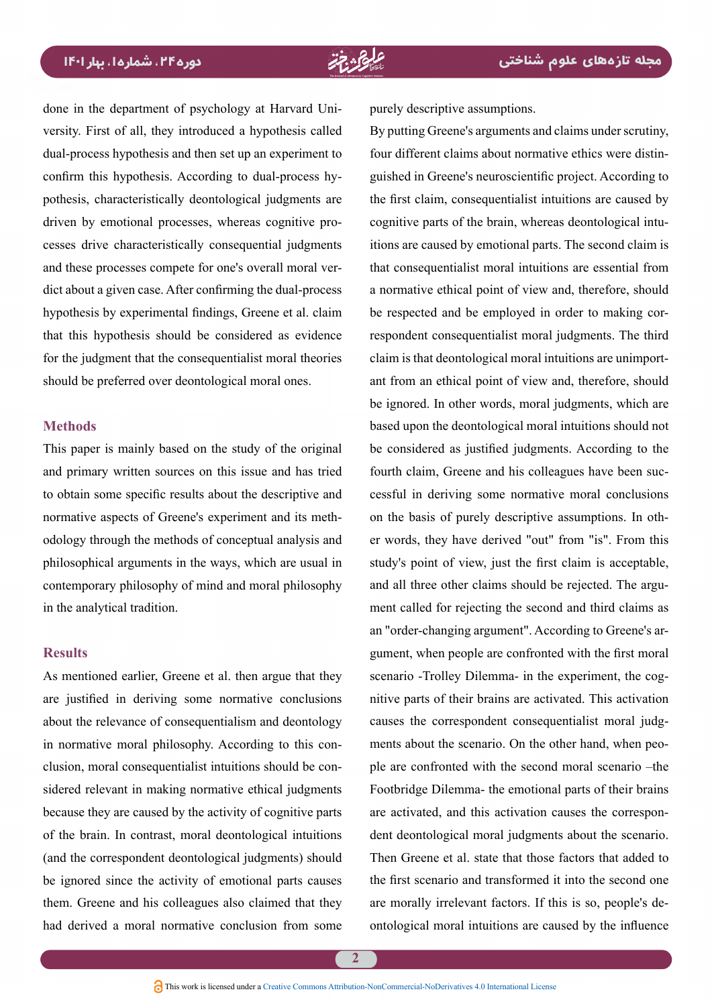done in the department of psychology at Harvard University. First of all, they introduced a hypothesis called dual-process hypothesis and then set up an experiment to pothesis, characteristically deontological judgments are confirm this hypothesis. According to dual-process hycesses drive characteristically consequential judgments driven by emotional processes, whereas cognitive prodict about a given case. After confirming the dual-process and these processes compete for one's overall moral verhypothesis by experimental findings. Greene et al. claim that this hypothesis should be considered as evidence for the judgment that the consequentialist moral theories should be preferred over deontological moral ones.

#### **Methods**

This paper is mainly based on the study of the original and primary written sources on this issue and has tried to obtain some specific results about the descriptive and odology through the methods of conceptual analysis and normative aspects of Greene's experiment and its methphilosophical arguments in the ways, which are usual in contemporary philosophy of mind and moral philosophy in the analytical tradition.

## **Results**

As mentioned earlier, Greene et al. then argue that they are justified in deriving some normative conclusions about the relevance of consequentialism and deontology sidered relevant in making normative ethical judgments clusion, moral consequentialist intuitions should be conin normative moral philosophy. According to this conbecause they are caused by the activity of cognitive parts of the brain. In contrast, moral deontological intuitions (and the correspondent deontological judgments) should be ignored since the activity of emotional parts causes them. Greene and his colleagues also claimed that they had derived a moral normative conclusion from some

purely descriptive assumptions.

By putting Greene's arguments and claims under scrutiny. guished in Greene's neuroscientific project. According to four different claims about normative ethics were distinthe first claim, consequentialist intuitions are caused by itions are caused by emotional parts. The second claim is cognitive parts of the brain, whereas deontological intuthat consequentialist moral intuitions are essential from a normative ethical point of view and, therefore, should respondent consequentialist moral judgments. The third be respected and be employed in order to making corant from an ethical point of view and, therefore, should claim is that deontological moral intuitions are unimportbe ignored. In other words, moral judgments, which are based upon the deontological moral intuitions should not be considered as justified judgments. According to the cessful in deriving some normative moral conclusions fourth claim, Greene and his colleagues have been sucer words, they have derived "out" from "is". From this on the basis of purely descriptive assumptions. In othstudy's point of view, just the first claim is acceptable, ment called for rejecting the second and third claims as and all three other claims should be rejected. The arguan "order-changing argument". According to Greene's argument, when people are confronted with the first moral nitive parts of their brains are activated. This activation scenario -Trolley Dilemma- in the experiment, the cogments about the scenario. On the other hand, when peo-<br>ple are confronted with the second moral scenario – the causes the correspondent consequentialist moral judg-<br>ments about the scenario. On the other hand, when peo-Footbridge Dilemma- the emotional parts of their brains dent deontological moral judgments about the scenario. are activated, and this activation causes the correspon-Then Greene et al. state that those factors that added to the first scenario and transformed it into the second one ontological moral intuitions are caused by the influence are morally irrelevant factors. If this is so, people's de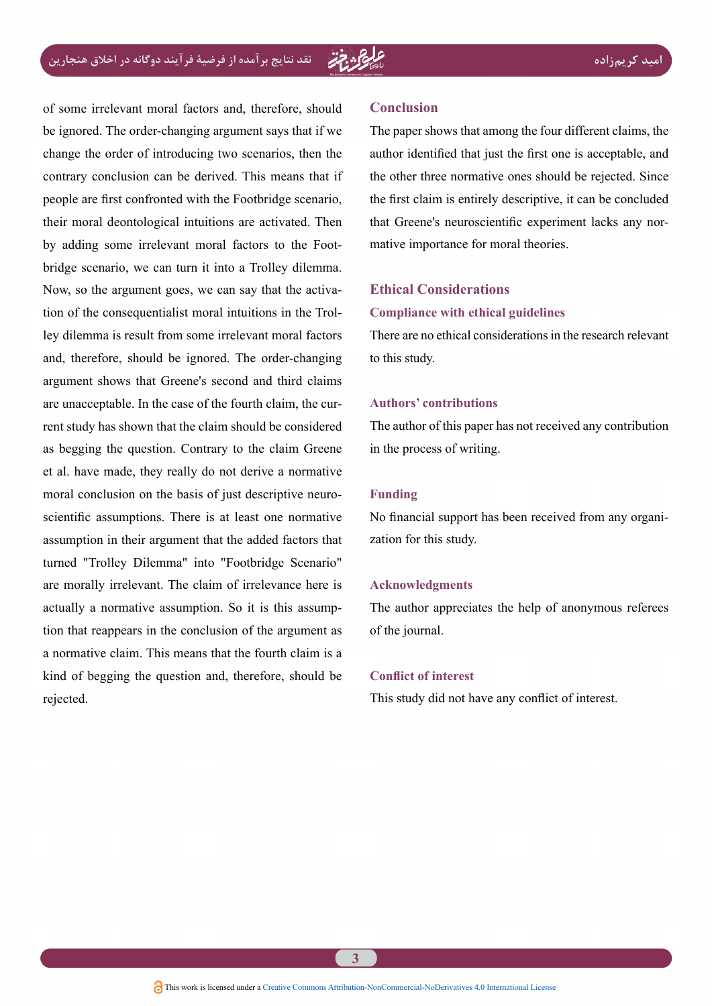of some irrelevant moral factors and, therefore, should be ignored. The order-changing argument says that if we change the order of introducing two scenarios, then the contrary conclusion can be derived. This means that if people are first confronted with the Footbridge scenario, their moral deontological intuitions are activated. Then bridge scenario, we can turn it into a Trolley dilemma. by adding some irrelevant moral factors to the Footley dilemma is result from some irrelevant moral factors tion of the consequentialist moral intuitions in the Trol-Now, so the argument goes, we can say that the activaand, therefore, should be ignored. The order-changing argument shows that Greene's second and third claims rent study has shown that the claim should be considered are unacceptable. In the case of the fourth claim, the curas begging the question. Contrary to the claim Greene et al. have made, they really do not derive a normative scientific assumptions. There is at least one normative moral conclusion on the basis of just descriptive neuroassumption in their argument that the added factors that turned "Trolley Dilemma" into "Footbridge Scenario" are morally irrelevant. The claim of irrelevance here is tion that reappears in the conclusion of the argument as actually a normative assumption. So it is this assumpa normative claim. This means that the fourth claim is a kind of begging the question and, therefore, should be rejected.

#### **Conclusion**

The paper shows that among the four different claims, the author identified that just the first one is acceptable, and the other three normative ones should be rejected. Since the first claim is entirely descriptive, it can be concluded that Greene's neuroscientific experiment lacks any nor-<br>mative importance for moral theories.

## **Ethical Considerations**

#### **Compliance** with ethical guidelines

There are no ethical considerations in the research relevant to this study.

#### **contributions' Authors**

The author of this paper has not received any contribution in the process of writing.

#### **Funding**

No financial support has been received from any organization for this study.

#### **Acknowledgments**

The author appreciates the help of anonymous referees of the journal.

#### **Conflict of interest**

This study did not have any conflict of interest.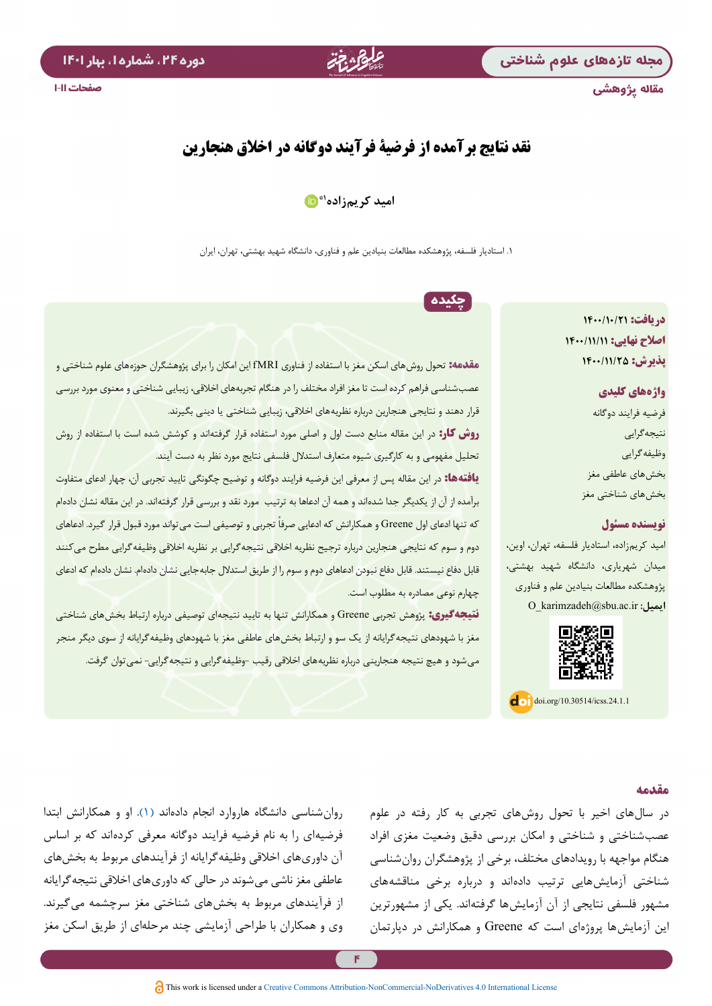مقاله پژوهشی



# **نقد نتایج برآمده از فرضیة فرآیند دوگانه در اخالق هنجارین**

## **۱[\\*](https://orcid.org/0000-0003-4390-0749) امید کریم زاده**

.1 استادیار فلسفه، پژوهشکده مطالعات بنیادین علم و فناوری، دانشگاه شهید بهشتی، تهران، ایران

چکیده

# **دریافت: 1400/10/21 اصالح نهایی: 1400/11/11 پذیرش: 1400/11/25**

# **واژههای کلیدی** فرضیه فرایند دوگانه نتیجهگرایی وظیفهگرایی بخشهای عاطفی مغز بخشهای شناختی مغز

## **نویسنده مسئول**

امید کریمزاده، استادیار فلسفه، تهران، اوین، ميدان شهریاری، دانشگاه شهید بهشتی، پژوهشکده مطالعات بنیادین علم و فناوری **ایمیل:** ir.ac.sbu@karimzadeh\_O



 $\log$  doi.org/10.30514/icss.24.1.1

**مقدمه:** تحول روشهای اسکن مغز با استفاده از فناوری fMRI این امکان را برای پژوهشگران حوزههای علوم شناختی و عصبشناسی فراهم کرده است تا مغز افراد مختلف را در هنگام تجربههای اخالقی، زیبایی شناختی و معنوی مورد بررسی قرار دهند و نتایجی هنجارین درباره نظریههای اخالقی، زیبایی شناختی یا دینی بگیرند. **روش کار:** در این مقاله منابع دست اول و اصلی مورد استفاده قرار گرفتهاند و کوشش شده است با استفاده از روش تحلیل مفهومی و به کارگیری شیوه متعارف استدالل فلسفی نتایج مورد نظر به دست آیند. **یافتهها:** در این مقاله پس از معرفی این فرضیه فرایند دوگانه و توضیح چگونگی تایید تجربی آن، چهار ادعای متفاوت

برآمده از آن از یکدیگر جدا شدهاند و همه آن ادعاها به ترتیب مورد نقد و بررسی قرار گرفتهاند. در این مقاله نشان دادهام که تنها ادعای اول Greene و همکارانش که ادعایی صرفاً تجربی و توصیفی است می تواند مورد قبول قرار گیرد. ادعاهای دوم و سوم که نتایجی هنجارین درباره ترجیح نظریه اخالقی نتیجهگرایی بر نظریه اخالقی وظیفهگرایی مطرح میکنند قابل دفاع نیستند. قابل دفاع نبودن ادعاهای دوم و سوم را از طریق استدالل جابهجایی نشان دادهام. نشان دادهام که ادعای چهارم نوعی مصادره به مطلوب است.

**نتیجهگیری:** پژوهش تجربی Greene و همکارانش تنها به تایید نتیجهای توصیفی درباره ارتباط بخشهای شناختی مغز با شهودهای نتیجهگرایانه از یک سو و ارتباط بخشهای عاطفی مغز با شهودهای وظیفهگرایانه از سوی دیگر منجر میشود و هیچ نتیجه هنجارینی درباره نظریههای اخالقی رقیب -وظیفهگرایی و نتیجهگرایی- نمیتوان گرفت.

## **مقدمه**

در سالهای اخیر با تحول روشهای تجربی به کار رفته در علوم عصبشناختی و شناختی و امکان بررسی دقیق وضعیت مغزی افراد هنگام مواجهه با رویدادهای مختلف، برخی از پژوهشگران روانشناسی شناختی آزمایشهایی ترتیب دادهاند و درباره برخی مناقشههای مشهور فلسفی نتایجی از آن آزمایشها گرفتهاند. یکی از مشهورترین این آزمایشها پروژهای است که Greene و همکارانش در دپارتمان

روانشناسی دانشگاه هاروارد انجام دادهاند )[۱\(](#page-10-0). او و همکارانش ابتدا فرضیهای را به نام فرضیه فرایند دوگانه معرفی کردهاند که بر اساس آن داوریهای اخالقی وظیفهگرایانه از فرآیندهای مربوط به بخشهای عاطفی مغز ناشی میشوند در حالی که داوریهای اخالقی نتیجهگرایانه از فرآیندهای مربوط به بخشهای شناختی مغز سرچشمه میگیرند. وی و همکاران با طراحی آزمایشی چند مرحلهای از طریق اسکن مغز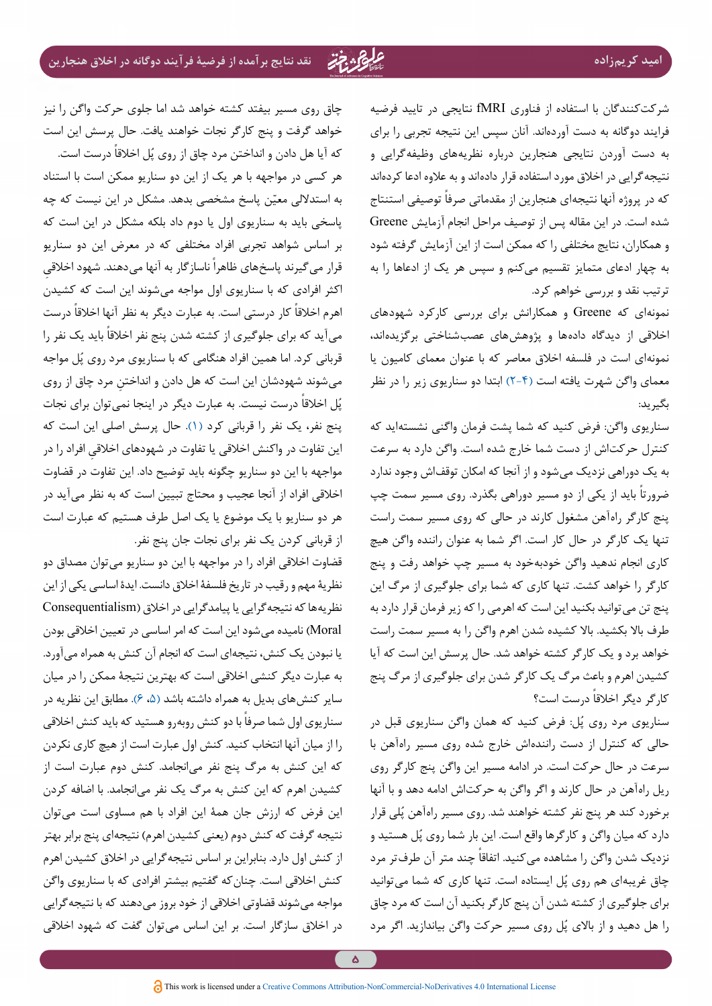شرکتکنندگان با استفاده از فناوری fMRI نتایجی در تایید فرضیه فرایند دوگانه به دست آوردهاند. آنان سپس این نتیجه تجربی را برای به دست آوردن نتایجی هنجارین درباره نظریههای وظیفهگرایی و نتیجهگرایی در اخالق مورد استفاده قرار دادهاند و به عالوه ادعا کردهاند که در پروژه آنها نتیجهای هنجارین از مقدماتی صرفاً توصیفی استنتاج شده است. در این مقاله پس از توصیف مراحل انجام آزمایش Greene و همکاران، نتایج مختلفی را که ممکن است از این آزمایش گرفته شود به چهار ادعای متمایز تقسیم میکنم و سپس هر یک از ادعاها را به ترتیب نقد و بررسی خواهم کرد.

نمونهای که Greene و همکارانش برای بررسی کارکرد شهودهای اخالقی از دیدگاه دادهها و پژوهشهای عصبشناختی برگزیدهاند، نمونهای است در فلسفه اخالق معاصر که با عنوان معمای کامیون یا معمای واگن شهرت یافته است [\)](#page-10-3)[2](#page-10-1)[-](#page-10-2)[4](#page-10-3)[\(](#page-10-1) ابتدا دو سناریوی زیر را در نظر بگیرید:

سناریوی واگن: فرض کنید که شما پشت فرمان واگنی نشستهاید که کنترل حرکتاش از دست شما خارج شده است. واگن دارد به سرعت به یک دوراهی نزدیک میشود و از آنجا که امکان توقفاش وجود ندارد ً باید از یکی از دو مسیر دوراهی بگذرد. روی مسیر سمت چپ ضرورتا پنج کارگر راهآهن مشغول کارند در حالی که روی مسیر سمت راست تنها یک کارگر در حال کار است. اگر شما به عنوان راننده واگن هیچ کاری انجام ندهید واگن خودبهخود به مسیر چپ خواهد رفت و پنج کارگر را خواهد کشت. تنها کاری که شما برای جلوگیری از مرگ این پنج تن میتوانید بکنید این است که اهرمی را که زیر فرمان قرار دارد به طرف بالا بکشید. بالا کشیده شدن اهرم واگن را به مسیر سمت راست خواهد برد و یک کارگر کشته خواهد شد. حال پرسش این است که آیا کشیدن اهرم و باعث مرگ یک کارگر شدن برای جلوگیری از مرگ پنج کارگر دیگر اخلاقاً درست است؟

سناریوی مرد روی پُل: فرض کنید که همان واگن سناریوی قبل در حالی که کنترل از دست رانندهاش خارج شده روی مسیر راهآهن با سرعت در حال حرکت است. در ادامه مسیر این واگن پنج کارگر روی ریل راهآهن در حال کارند و اگر واگن به حرکتاش ادامه دهد و با آنها برخورد کند هر پنج نفر کشته خواهند شد. روی مسیر راهآهن پُلی قرار دارد که میان واگن و کارگرها واقع است. این بار شما روی پُل هستید و نزدیک شدن واگن را مشاهده میکنید. اتفاقاً چند متر آن طرفتر مرد چاق غریبهای هم روی پُل ایستاده است. تنها کاری که شما میتوانید برای جلوگیری از کشته شدن آن پنج کارگر بکنید آن است که مرد چاق را هل دهید و از بالای پُل روی مسیر حرکت واگن بیاندازید. اگر مرد

چاق روی مسیر بیفتد کشته خواهد شد اما جلوی حرکت واگن را نیز خواهد گرفت و پنج کارگر نجات خواهند یافت. حال پرسش این است که آیا هل دادن و انداختن مرد چاق از روی پُل اخلاقاً درست است. هر کسی در مواجهه با هر یک از این دو سناریو ممکن است با استناد به استدلالی معیّن پاسخ مشخصی بدهد. مشکل در این نیست که چه پاسخی باید به سناریوی اول یا دوم داد بلکه مشکل در این است که بر اساس شواهد تجربی افراد مختلفی که در معرض این دو سناریو قرار می گیرند پاسخهای ظاهراً ناسازگار به آنها میدهند. شهود اخلاقی اکثر افرادی که با سناریوی اول مواجه میشوند این است که کشیدن اهرم اخلاقاً کار درستی است. به عبارت دیگر به نظر آنها اخلاقاً درست میآید که برای جلوگیری از کشته شدن پنج نفر اخلاقاً باید یک نفر را قربانی کرد. اما همین افراد هنگامی که با سناریوی مرد روی پُل مواجه می ِ شوند شهودشان این است که هل دادن و انداختن مرد چاق از روی پُل اخلاقاً درست نیست. به عبارت دیگر در اینجا نمیتوان برای نجات پنج نفر، یک نفر را قربانی کرد (۱). حال پرسش اصلی این است که ِ این تفاوت در واکنش اخالقی یا تفاوت در شهودهای اخالقی افراد را در مواجهه با این دو سناریو چگونه باید توضیح داد. این تفاوت در قضاوت اخالقی افراد از آنجا عجیب و محتاج تبیین است که به نظر میآید در هر دو سناریو با یک موضوع یا یک اصل طرف هستیم که عبارت است از قربانی کردن یک نفر برای نجات جان پنج نفر.

قضاوت اخالقی افراد را در مواجهه با این دو سناریو میتوان مصداق دو نظریة مهم و رقیب در تاریخ فلسفة اخالق دانست. ایدة اساسی یکی از این نظریهها که نتیجهگرایی یا پیامدگرایی در اخالق )Consequentialism Moral )نامیده میشود این است که امر اساسی در تعیین اخالقی بودن یا نبودن یک کنش، نتیجهای است که انجام آن کنش به همراه میآورد. به عبارت دیگر کنشی اخالقی است که بهترین نتیجة ممکن را در میان سایر کنشهای بدیل به همراه داشته باشد [\)](#page-10-5)،[۵](#page-10-5) [6](#page-10-4)(. مطابق این نظریه در سناریوی اول شما صرفاً با دو کنش روبهرو هستید که باید کنش اخلاقی را از میان آنها انتخاب کنید. کنش اول عبارت است از هیچ کاری نکردن که این کنش به مرگ پنج نفر میانجامد. کنش دوم عبارت است از کشیدن اهرم که این کنش به مرگ یک نفر میانجامد. با اضافه کردن این فرض که ارزش جان همة این افراد با هم مساوی است میتوان نتیجه گرفت که کنش دوم (یعنی کشیدن اهرم) نتیجهای پنج برابر بهتر از کنش اول دارد. بنابراین بر اساس نتیجهگرایی در اخالق کشیدن اهرم کنش اخالقی است. چنانکه گفتیم بیشتر افرادی که با سناریوی واگن مواجه میشوند قضاوتی اخالقی از خود بروز میدهند که با نتیجهگرایی در اخالق سازگار است. بر این اساس میتوان گفت که شهود اخالقی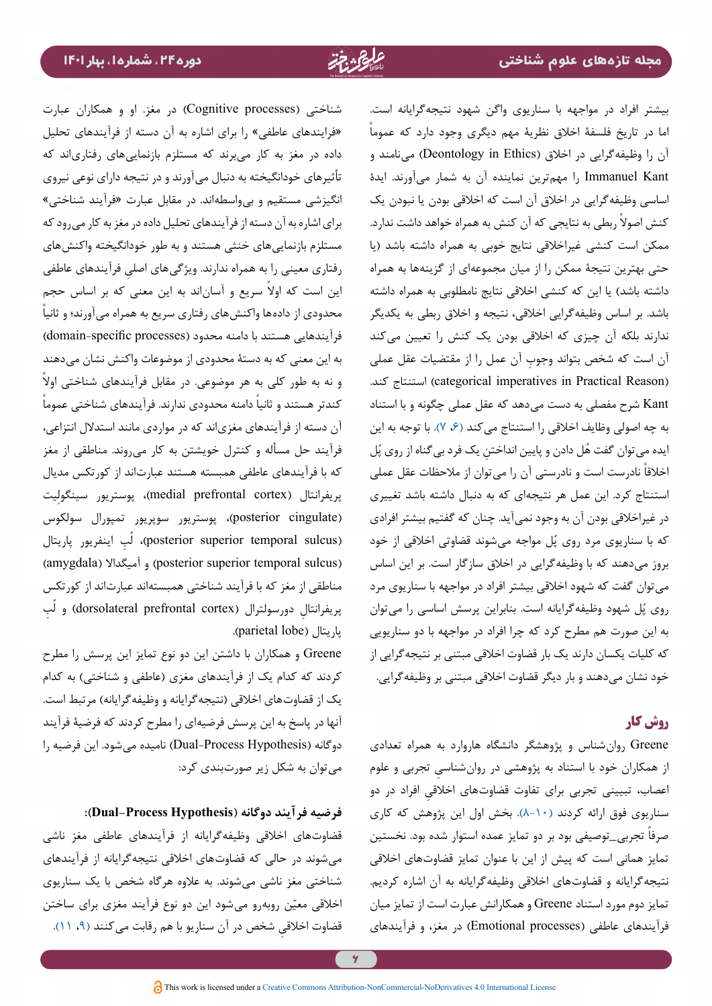بیشتر افراد در مواجهه با سناریوی واگن شهود نتیجهگرایانه است. اما در تاریخ فلسفة اخالق نظریة مهم دیگری وجود دارد که عموما آن را وظیفهگرایی در اخلاق (Deontology in Ethics) می نامند و Kant Immanuel را مهمترین نماینده آن به شمار میآورند. ایدة اساسی وظیفهگرایی در اخالق آن است که اخالقی بودن یا نبودن یک کنش اصولاً ربطی به نتایجی که آن کنش به همراه خواهد داشت ندارد. ممکن است کنشی غیراخالقی نتایج خوبی به همراه داشته باشد )یا حتی بهترین نتیجة ممکن را از میان مجموعهای از گزینهها به همراه داشته باشد) یا این که کنشی اخلاقی نتایج نامطلوبی به همراه داشته باشد. بر اساس وظیفهگرایی اخالقی، نتیجه و اخالق ربطی به یکدیگر ندارند بلکه آن چیزی که اخالقی بودن یک کنش را تعیین میکند ِ آن است که شخص بتواند وجوب آن عمل را از مقتضیات عقل عملی (categorical imperatives in Practical Reason) استنتاج کند. Kant شرح مفصلی به دست میدهد که عقل عملی چگونه و با استناد به چه اصولی وظایف اخلاقی را استنتاج می کند (۶، ۷[\)](#page-10-4). با توجه به این یده می توان گفت هُل دادن و پایین انداختنِ یک فرد بی گناه از روی پُل خلاقاً نادرست است و نادرستی آن را می¤وان از ملاحظات عقل عملی استنتاج کرد. این عمل هر نتیجهای که به دنبال داشته باشد تغییری در غیراخالقی بودن آن به وجود نمیآید. چنان که گفتیم بیشتر افرادی که با سناریوی مرد روی پُل مواجه میشوند قضاوتی اخلاقی از خود بروز میدهند که با وظیفهگرایی در اخالق سازگار است. بر این اساس میتوان گفت که شهود اخالقی بیشتر افراد در مواجهه با سناریوی مرد روی پُل شهود وظیفهگرایانه است. بنابراین پرسش اساسی را میتوان به این صورت هم مطرح کرد که چرا افراد در مواجهه با دو سناریویی که کلیات یکسان دارند یک بار قضاوت اخالقی مبتنی بر نتیجهگرایی از خود نشان میدهند و بار دیگر قضاوت اخالقی مبتنی بر وظیفهگرایی.

## **روش کار**

Greene روانشناس و پژوهشگر دانشگاه هاروارد به همراه تعدادی از همکاران خود با استناد به پژوهشی در روان شناسی تجربی و علوم اعصاب، تبیینی تجربی برای تفاوت قضاوتهای اخلاقی افراد در دو سناریوی فوق ارائه کردند [\)](#page-10-9)[8](#page-10-7)[-](#page-10-8)[10](#page-10-9)[\(](#page-10-7). بخش اول این پژوهش که کاری صرفاً تجرب<u>ی -</u>توصیفی بود بر دو تمایز عمده استوار شده بود. نخستین تمایز همانی است که پیش از این با عنوان تمایز قضاوتهای اخالقی نتیجهگرایانه و قضاوتهای اخالقی وظیفهگرایانه به آن اشاره کردیم. تمایز دوم مورد استناد Greene و همکارانش عبارت است از تمایز میان فرآیندهای عاطفی )processes Emotional )در مغز، و فرآیندهای

شناختی )processes Cognitive )در مغز. او و همکاران عبارت »فرایندهای عاطفی« را برای اشاره به آن دسته از فرآیندهای تحلیل داده در مغز به کار میبرند که مستلزم بازنماییهای رفتاریاند که تأثیرهای خودانگیخته به دنبال میآورند و در نتیجه دارای نوعی نیروی انگیزشی مستقیم و بیواسطهاند. در مقابل عبارت »فرآیند شناختی« برای اشاره به آن دسته از فرآیندهای تحلیل داده در مغز به کار میرود که مستلزم بازنماییهای خنثی هستند و به طور خودانگیخته واکنشهای رفتاری معینی را به همراه ندارند. ویژگی ِ های اصلی فرآیندهای عاطفی ین است که اولاً سریع و آساناند به این معنی که بر اساس حجم ً محدودی از دادهها واکنشهای رفتاری سریع به همراه میآورند؛ و ثانیا فرآیندهایی هستند با دامنه محدود (domain-specific processes) به این معنی که به دستة محدودی از موضوعات واکنش نشان میدهند ׇֺ֖֚֚֚<br>֧֚֝<br>֚֚֝ و نه به طور کلی به هر موضوعی. در مقابل فرآیندهای شناختی اوال کندتر هستند و ثانیاً دامنه محدودی ندارند. فرآیندهای شناختی عموماً آن دسته از فرآیندهای مغزیاند که در مواردی مانند استدالل انتزاعی، فرآیند حل مسأله و کنترل خویشتن به کار میروند. مناطقی از مغز که با فرآیندهای عاطفی همبسته هستند عبارتاند از کورتکس مدیال پریفرانتال )cortex prefrontal medial)، پوستریور سینگولِیت )cingulate posterior)، پوستریور سوپریور تمپورال سولکوس (posterior superior temporal sulcus)، لَب اینفریور پاریتال (amygdala) و آمیگدالا (posterior superior temporal sulcus) مناطقی از مغز که با فرآیند شناختی همبستهاند عبارتاند از کورتکس پریفرانتال دورسولترال (dorsolateral prefrontal cortex) و لُب پاریتال (parietal lobe).

Greene و همکاران با داشتن این دو نوع تمایز این پرسش را مطرح کردند که کدام یک از فرآیندهای مغزی (عاطفی و شناختی) به کدام یک از قضاوتهای اخلاقی (نتیجهگرایانه و وظیفهگرایانه) مرتبط است. آنها در پاسخ به این پرسش فرضیهای را مطرح کردند که فرضیة فرآیند دوگانه )Hypothesis Process-Dual )نامیده میشود. این فرضیه را میتوان به شکل زیر صورتبندی کرد:

## **فرضیه فرآیند دوگانه )Hypothesis Process-Dual):**

قضاوتهای اخالقی وظیفهگرایانه از فرآیندهای عاطفی مغز ناشی میشوند در حالی که قضاوتهای اخالقی نتیجهگرایانه از فرآیندهای شناختی مغز ناشی میشوند. به عالوه هرگاه شخص با یک سناریوی خلاقی معیّن روبهرو میشود این دو نوع فرآیند مغزی برای ساختن ِ قضاوت اخالقی شخص در آن سناریو با هم رقابت میکنند [\)](#page-10-8)،[۹](#page-10-8) [۱۱\(](#page-10-10).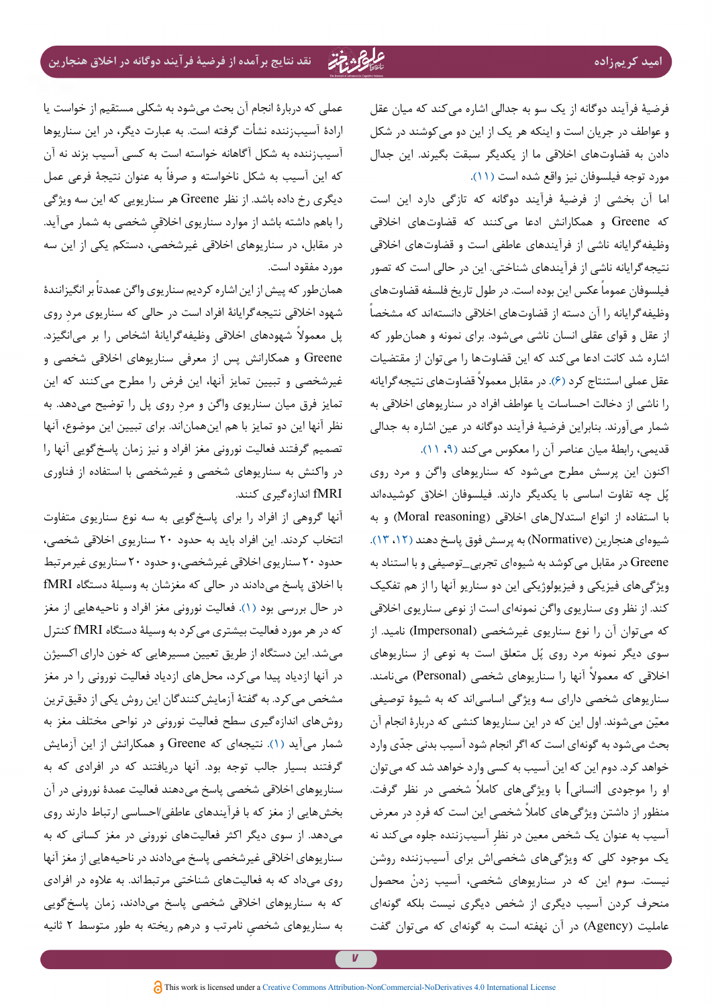فرضیهٔ فرآیند دوگانه از یک سو به جدالی اشاره می کند که میان عقل و عواطف در جریان است و اینکه هر یک از این دو می کوشند در شکل دادن به قضاوتهای اخالقی ما از یکدیگر سبقت بگیرند. این جدال مورد توجه فیلسوفان نیز واقع شده است [\)۱۱](#page-10-10)(.

اما آن بخشی از فرضیة فرآیند دوگانه که تازگی دارد این است که Greene و همکارانش ادعا میکنند که قضاوتهای اخالقی وظیفه گرایانه ناشی از فرآیندهای عاطفی است و قضاوتهای اخلاقی نتیجهگرایانه ناشی از فرآیندهای شناختی. این در حالی است که تصور فیلسوفان عموماً عکس این بوده است. در طول تاریخ فلسفه قضاوتهای وظیفهگرایانه را آن دسته از قضاوتهای اخالقی دانستهاند که مشخصا از عقل و قوای عقلی انسان ناشی میشود. برای نمونه و همانطور که اشاره شد کانت ادعا میکند که این قضاوتها را میتوان از مقتضیات عقل عملی استنتاج کرد (۶). در مقابل معمولاً قضاوتهای نتیجه گرایانه را ناشی از دخالت احساسات یا عواطف افراد در سناریوهای اخالقی به شمار میآورند. بنابراین فرضیة فرآیند دوگانه در عین اشاره به جدالی قدیمی، رابطة میان عناصر آن را معکوس میکند )[،۹](#page-10-8) [۱۱](#page-10-10)(.

اکنون این پرسش مطرح میشود که سناریوهای واگن و مرد روی ُل چه تفاوت اساسی با یکدیگر دارند. فیلسوفان اخالق کوشیدهاند پ با استفاده از انواع استدلال های اخلاقی (Moral reasoning) و به شیوهای هنجارین )Normative )به پرسش فوق پاسخ دهند [\)،۱۲](#page-10-12) [۱۳\(](#page-10-11). Greene در مقابل میکوشد به شیوهای تجربی\_توصیفی و با استناد به ویژگیهای فیزیکی و فیزیولوژیکی این دو سناریو آنها را از هم تفکیک کند. از نظر وی سناریوی واگن نمونهای است از نوعی سناریوی اخالقی که میتوان آن را نوع سناریوی غیرشخصی )Impersonal )نامید. از سوی دیگر نمونه مرد روی پُل متعلق است به نوعی از سناریوهای خلاقی که معمولاً آنها را سناریوهای شخصی (Personal) میiامند. سناریوهای شخصی دارای سه ویژگی اساسیاند که به شیوة توصیفی معیّن میشوند. اول این که در این سناریوها کنشی که دربارهٔ انجام آن بحث می شود به گونهای است که اگر انجام شود آسیب بدنی جدّی وارد خواهد کرد. دوم این که این آسیب به کسی وارد خواهد شد که می توان او را موجودی ]انسانی[ با ویژگی ً های کامال شخصی در نظر گرفت. منظور از داشتن ویژگیهای کاملاً شخصی این است که فرد در معرض ِ آسیب به عنوان یک شخص معین در نظر آسیبزننده جلوه میکند نه یک موجود کلی که ویژگیهای شخصیاش برای آسیبزننده روشن ْ نیست. سوم این که در سناریوهای شخصی، آسیب زدن محصول منحرف کردن آسیب دیگری از شخص دیگری نیست بلکه گونهای عاملیت )Agency )در آن نهفته است به گونهای که میتوان گفت

عملی که دربارة انجام آن بحث میشود به شکلی مستقیم از خواست یا ارادة آسیبزننده نشأت گرفته است. به عبارت دیگر، در این سناریوها آسیبزننده به شکل آگاهانه خواسته است به کسی آسیب بزند نه آن که این آسیب به شکل ناخواسته و صرفاً به عنوان نتیجهٔ فرعی عمل دیگری رخ داده باشد. از نظر Greene هر سناریویی که این سه ویژگی ِ را باهم داشته باشد از موارد سناریوی اخالقی شخصی به شمار میآید. در مقابل، در سناریوهای اخالقی غیرشخصی، دستکم یکی از این سه مورد مفقود است.

همان طور که پیش از این اشاره کردیم سناریوی واگن عمدتاً بر انگیزانندهٔ شهود اخالقی نتیجه ِ گرایانة افراد است در حالی که سناریوی مرد روی پل معمولاً شهودهای اخلاقی وظیفهگرایانهٔ اشخاص را بر میانگیزد. Greene و همکارانش پس از معرفی سناریوهای اخالقی شخصی و غیرشخصی و تبیین تمایز آنها، این فرض را مطرح میکنند که این ِ تمایز فرق میان سناریوی واگن و مرد روی پل را توضیح میدهد. به نظر آنها این دو تمایز با هم اینهماناند. برای تبیین این موضوع، آنها تصمیم گرفتند فعالیت نورونی مغز افراد و نیز زمان پاسخگویی آنها را در واکنش به سناریوهای شخصی و غیرشخصی با استفاده از فناوری fMRI اندازهگیری کنند.

آنها گروهی از افراد را برای پاسخگویی به سه نوع سناریوی متفاوت انتخاب کردند. این افراد باید به حدود ۲۰ سناریوی اخالقی شخصی، حدود ۲۰ سناریوی اخالقی غیرشخصی، و حدود ۲۰ سناریوی غیرمرتبط با اخالق پاسخ میدادند در حالی که مغزشان به وسیلة دستگاه fMRI در حال بررسی بود [\)۱](#page-10-0)(. فعالیت نورونی مغز افراد و ناحیههایی از مغز که در هر مورد فعالیت بیشتری میکرد به وسیلة دستگاه fMRI کنترل میشد. این دستگاه از طریق تعیین مسیرهایی که خون دارای اکسیژن در آنها ازدیاد پیدا میکرد، محلهای ازدیاد فعالیت نورونی را در مغز مشخص میکرد. به گفتهٔ آزمایشکنندگان این روش یکی از دقیق ترین روشهای اندازهگیری سطح فعالیت نورونی در نواحی مختلف مغز به شمار میآید )[۱\(](#page-10-0). نتیجهای که Greene و همکارانش از این آزمایش گرفتند بسیار جالب توجه بود. آنها دریافتند که در افرادی که به سناریوهای اخالقی شخصی پاسخ میدهند فعالیت عمدة نورونی در آن بخشهایی از مغز که با فرآیندهای عاطفی/احساسی ارتباط دارند روی میدهد. از سوی دیگر اکثر فعالیتهای نورونی در مغز کسانی که به سناریوهای اخالقی غیرشخصی پاسخ میدادند در ناحیههایی از مغز آنها روی میداد که به فعالیتهای شناختی مرتبطاند. به عالوه در افرادی که به سناریوهای اخالقی شخصی پاسخ میدادند، زمان پاسخگویی ِ به سناریوهای شخصی نامرتب و درهم ریخته به طور متوسط ۲ ثانیه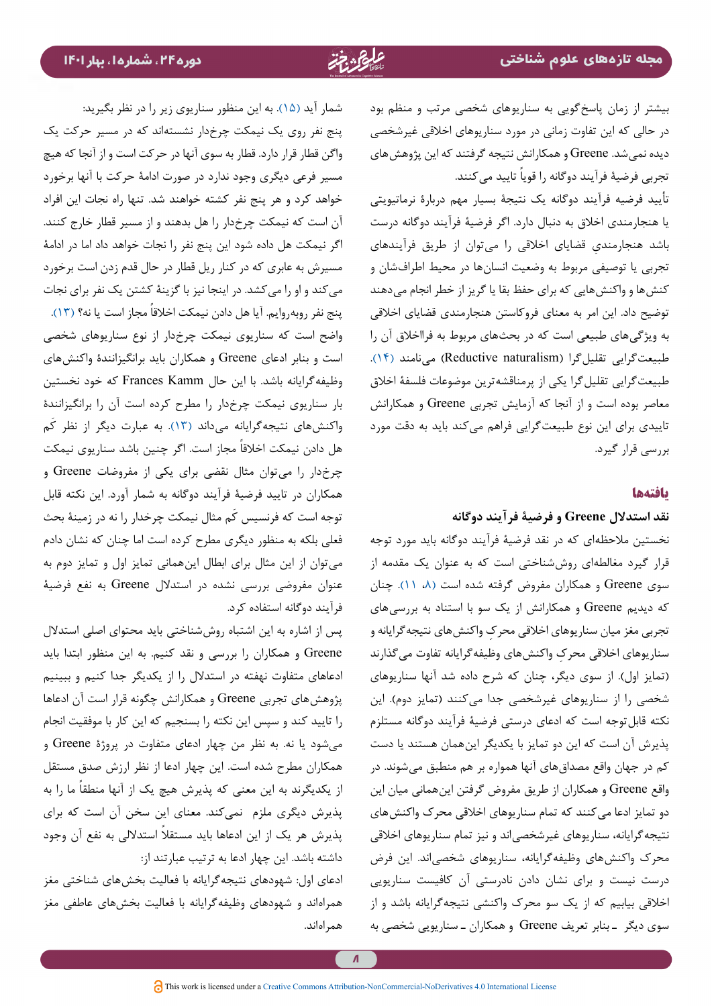بیشتر از زمان پاسخگویی به سناریوهای شخصی مرتب و منظم بود در حالی که این تفاوت زمانی در مورد سناریوهای اخالقی غیرشخصی دیده نمیشد. Greene و همکارانش نتیجه گرفتند که این پژوهشهای تجربی فرضیهٔ فرآیند دوگانه را قویاً تایید می کنند.

تأیید فرضیه فرآیند دوگانه یک نتیجة بسیار مهم دربارة نرماتیویتی یا هنجارمندی اخالق به دنبال دارد. اگر فرضیة فرآیند دوگانه درست ِ باشد هنجارمندی قضایای اخالقی را میتوان از طریق فرآیندهای تجربی یا توصیفی مربوط به وضعیت انسانها در محیط اطرافشان و کنشها و واکنشهایی که برای حفظ بقا یا گریز از خطر انجام میدهند توضیح داد. این امر به معنای فروکاستن هنجارمندی قضایای اخالقی به ویژگیهای طبیعی است که در بحثهای مربوط به فرااخالق آن را طبیعتگرایی تقلیلگرا (Reductive naturalism) مینامند (۱۴). طبیعتگرایی تقلیلگرا یکی از پرمناقشهترین موضوعات فلسفة اخالق معاصر بوده است و از آنجا که آزمایش تجربی Greene و همکارانش تاییدی برای این نوع طبیعتگرایی فراهم میکند باید به دقت مورد بررسی قرار گیرد.

## **یافتهها**

## **نقد استدالل Greene و فرضیة فرآیند دوگانه**

نخستین مالحظهای که در نقد فرضیة فرآیند دوگانه باید مورد توجه قرار گیرد مغالطهای روششناختی است که به عنوان یک مقدمه از سوی Greene و همکاران مفروض گرفته شده است [\)،۸](#page-10-7) [۱۱](#page-10-10)(. چنان که دیدیم Greene و همکارانش از یک سو با استناد به بررسیهای ِ تجربی مغز میان سناریوهای اخالقی محرک واکنشهای نتیجهگرایانه و ِ سناریوهای اخالقی محرک واکنشهای وظیفهگرایانه تفاوت میگذارند (تمایز اول). از سوی دیگر، چنان که شرح داده شد آنها سناریوهای شخصی را از سناریوهای غیرشخصی جدا میکنند (تمایز دوم). این نکته قابلتوجه است که ادعای درستی فرضیة فرآیند دوگانه مستلزم پذیرش آن است که این دو تمایز با یکدیگر اینهمان هستند یا دست کم در جهان واقع مصداقهای آنها همواره بر هم منطبق میشوند. در واقع Greene و همکاران از طریق مفروض گرفتن اینهمانی میان این دو تمایز ادعا می کنند که تمام سناریوهای اخلاقی محرک واکنشهای نتیجهگرایانه، سناریوهای غیرشخصیاند و نیز تمام سناریوهای اخالقی محرک واکنشهای وظیفهگرایانه، سناریوهای شخصیاند. این فرض درست نیست و برای نشان دادن نادرستی آن کافیست سناریویی اخالقی بیابیم که از یک سو محرک واکنشی نتیجهگرایانه باشد و از سوی دیگر ـ بنابر تعریف Greene و همکاران ـ سناریویی شخصی به

شمار آید )[۱۵\(](#page-10-14). به این منظور سناریوی زیر را در نظر بگیرید: پنج نفر روی یک نیمکت چرخدار نشستهاند که در مسیر حرکت یک واگن قطار قرار دارد. قطار به سوی آنها در حرکت است و از آنجا که هیچ مسیر فرعی دیگری وجود ندارد در صورت ادامة حرکت با آنها برخورد خواهد کرد و هر پنج نفر کشته خواهند شد. تنها راه نجات این افراد آن است که نیمکت چرخدار را هل بدهند و از مسیر قطار خارج کنند. اگر نیمکت هل داده شود این پنج نفر را نجات خواهد داد اما در ادامة مسیرش به عابری که در کنار ریل قطار در حال قدم زدن است برخورد میکند و او را میکشد. در اینجا نیز با گزینة کشتن یک نفر برای نجات پنج نفر روبهروایم. آیا هل دادن نیمکت اخلاقاً مجاز است یا نه؟ (۱۳). واضح است که سناریوی نیمکت چرخدار از نوع سناریوهای شخصی است و بنابر ادعای Greene و همکاران باید برانگیزانندة واکنشهای وظیفهگرایانه باشد. با این حال Frances Kamm که خود نخستین بار سناریوی نیمکت چرخدار را مطرح کرده است آن را برانگیزانندة واکنش های نتیجه گرایانه می داند (۱۳). به عبارت دیگر از نظر کَم هل دادن نیمکت اخلاقاً مجاز است. اگر چنین باشد سناریوی نیمکت چرخدار را میتوان مثال نقضی برای یکی از مفروضات Greene و همکاران در تایید فرضیة فرآیند دوگانه به شمار آورد. این نکته قابل َ توجه است که فرنسیس کم مثال نیمکت چرخدار را نه در زمینة بحث فعلی بلکه به منظور دیگری مطرح کرده است اما چنان که نشان دادم میتوان از این مثال برای ابطال اینهمانی تمایز اول و تمایز دوم به عنوان مفروضی بررسی نشده در استدالل Greene به نفع فرضیة فرآیند دوگانه استفاده کرد.

پس از اشاره به این اشتباه روششناختی باید محتوای اصلی استدالل Greene و همکاران را بررسی و نقد کنیم. به این منظور ابتدا باید ادعاهای متفاوت نهفته در استدالل را از یکدیگر جدا کنیم و ببینیم پژوهشهای تجربی Greene و همکارانش چگونه قرار است آن ادعاها را تایید کند و سپس این نکته را بسنجیم که این کار با موفقیت انجام میشود یا نه. به نظر من چهار ادعای متفاوت در پروژة Greene و همکاران مطرح شده است. این چهار ادعا از نظر ارزش صدق مستقل از یکدیگرند به این معنی که پذیرش هیچ یک از آنها منطقاً ما را به پذیرش دیگری ملزم نمیکند. معنای این سخن آن است که برای ً پذیرش هر یک از این ادعاها باید مستقال استداللی به نفع آن وجود داشته باشد. این چهار ادعا به ترتیب عبارتند از:

ادعای اول: شهودهای نتیجهگرایانه با فعالیت بخشهای شناختی مغز همراهاند و شهودهای وظیفهگرایانه با فعالیت بخشهای عاطفی مغز همراهاند.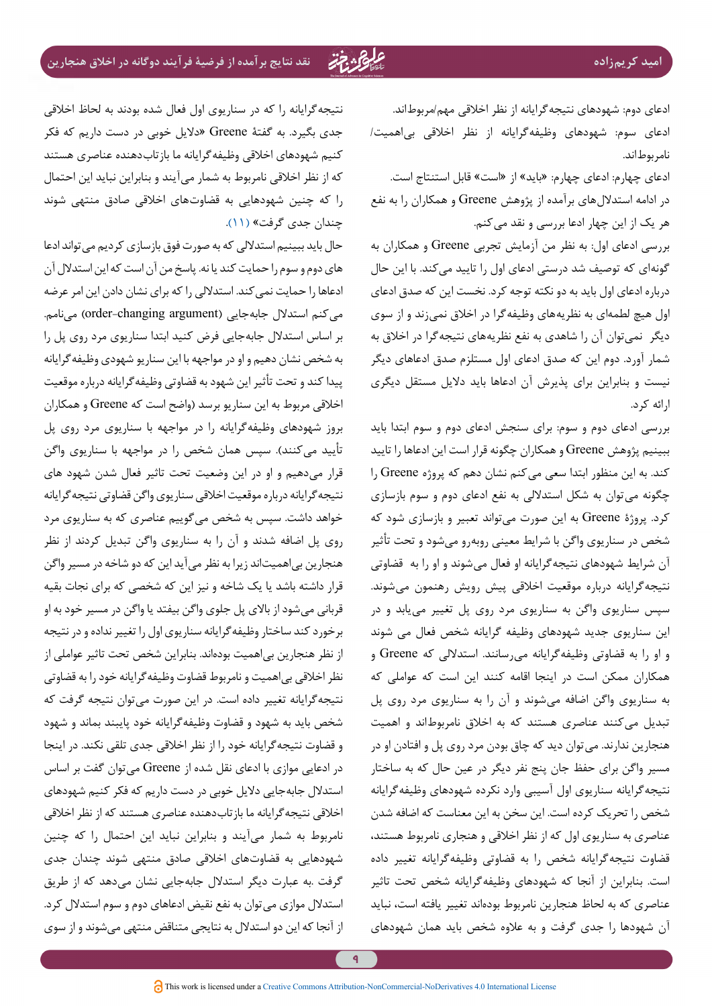ادعای دوم: شهودهای نتیجهگرایانه از نظر اخالقی مهم/مربوطاند. ادعای سوم: شهودهای وظیفهگرایانه از نظر اخالقی بیاهمیت/ نامربوطاند.

ادعای چهارم: ادعای چهارم: »باید« از »است« قابل استنتاج است. در ادامه استداللهای برآمده از پژوهش Greene و همکاران را به نفع هر یک از این چهار ادعا بررسی و نقد میکنم.

بررسی ادعای اول: به نظر من آزمایش تجربی Greene و همکاران به گونهای که توصیف شد درستی ادعای اول را تایید میکند. با این حال درباره ادعای اول باید به دو نکته توجه کرد. نخست این که صدق ادعای اول هیچ لطمهای به نظریههای وظیفهگرا در اخالق نمیزند و از سوی دیگر نمیتوان آن را شاهدی به نفع نظریههای نتیجهگرا در اخالق به شمار آورد. دوم این که صدق ادعای اول مستلزم صدق ادعاهای دیگر نیست و بنابراین برای پذیرش آن ادعاها باید دالیل مستقل دیگری ارائه کرد.

بررسی ادعای دوم و سوم: برای سنجش ادعای دوم و سوم ابتدا باید ببینیم پژوهش Greene و همکاران چگونه قرار است این ادعاها را تایید کند. به این منظور ابتدا سعی میکنم نشان دهم که پروژه Greene را چگونه میتوان به شکل استداللی به نفع ادعای دوم و سوم بازسازی کرد. پروژة Greene به این صورت میتواند تعبیر و بازسازی شود که شخص در سناریوی واگن با شرایط معینی روبهرو میشود و تحت تأثیر آن شرایط شهودهای نتیجهگرایانه او فعال میشوند و او را به قضاوتی نتیجهگرایانه درباره موقعیت اخالقی پیش رویش رهنمون میشوند. سپس سناریوی واگن به سناریوی مرد روی پل تغییر مییابد و در این سناریوی جدید شهودهای وظیفه گرایانه شخص فعال می شوند و او را به قضاوتی وظیفهگرایانه میرسانند. استداللی که Greene و همکاران ممکن است در اینجا اقامه کنند این است که عواملی که به سناریوی واگن اضافه میشوند و آن را به سناریوی مرد روی پل تبدیل میکنند عناصری هستند که به اخالق نامربوطاند و اهمیت هنجارین ندارند. میتوان دید که چاق بودن مرد روی پل و افتادن او در مسیر واگن برای حفظ جان پنج نفر دیگر در عین حال که به ساختار نتیجهگرایانه سناریوی اول آسیبی وارد نکرده شهودهای وظیفهگرایانه شخص را تحریک کرده است. این سخن به این معناست که اضافه شدن عناصری به سناریوی اول که از نظر اخالقی و هنجاری نامربوط هستند، قضاوت نتیجهگرایانه شخص را به قضاوتی وظیفهگرایانه تغییر داده است. بنابراین از آنجا که شهودهای وظیفهگرایانه شخص تحت تاثیر عناصری که به لحاظ هنجارین نامربوط بودهاند تغییر یافته است، نباید آن شهودها را جدی گرفت و به عالوه شخص باید همان شهودهای

نتیجهگرایانه را که در سناریوی اول فعال شده بودند به لحاظ اخالقی جدی بگیرد. به گفتة Greene« دالیل خوبی در دست داریم که فکر کنیم شهودهای اخالقی وظیفهگرایانه ما بازتابدهنده عناصری هستند که از نظر اخالقی نامربوط به شمار میآیند و بنابراین نباید این احتمال را که چنین شهودهایی به قضاوتهای اخالقی صادق منتهی شوند چندان جدی گرفت» ([۱۱](#page-10-10)).

حال باید ببینیم استداللی که به صورت فوق بازسازی کردیم میتواند ادعا های دوم و سوم را حمایت کند یا نه. پاسخ من آن است که این استدالل آن ادعاها را حمایت نمیکند. استداللی را که برای نشان دادن این امر عرضه می کنم استدلال جابهجایی (order-changing argument) مینامم. بر اساس استدالل جابهجایی فرض کنید ابتدا سناریوی مرد روی پل را به شخص نشان دهیم و او در مواجهه با این سناریو شهودی وظیفهگرایانه پیدا کند و تحت تأثیر این شهود به قضاوتی وظیفهگرایانه درباره موقعیت اخالقی مربوط به این سناریو برسد )واضح است که Greene و همکاران بروز شهودهای وظیفهگرایانه را در مواجهه با سناریوی مرد روی پل تأیید میکنند). سپس همان شخص را در مواجهه با سناریوی واگن قرار میدهیم و او در این وضعیت تحت تاثیر فعال شدن شهود های نتیجهگرایانه درباره موقعیت اخالقی سناریوی واگن قضاوتی نتیجهگرایانه خواهد داشت. سپس به شخص میگوییم عناصری که به سناریوی مرد روی پل اضافه شدند و آن را به سناریوی واگن تبدیل کردند از نظر هنجارین بیاهمیتاند زیرا به نظر میآید این که دو شاخه در مسیر واگن قرار داشته باشد یا یک شاخه و نیز این که شخصی که برای نجات بقیه قربانی میشود از باالی پل جلوی واگن بیفتد یا واگن در مسیر خود به او برخورد کند ساختار وظیفهگرایانه سناریوی اول را تغییر نداده و در نتیجه از نظر هنجارین بیاهمیت بودهاند. بنابراین شخص تحت تاثیر عواملی از نظر اخالقی بیاهمیت و نامربوط قضاوت وظیفهگرایانه خود را به قضاوتی نتیجهگرایانه تغییر داده است. در این صورت میتوان نتیجه گرفت که شخص باید به شهود و قضاوت وظیفهگرایانه خود پایبند بماند و شهود و قضاوت نتیجهگرایانه خود را از نظر اخالقی جدی تلقی نکند. در اینجا در ادعایی موازی با ادعای نقل شده از Greene میتوان گفت بر اساس استدالل جابهجایی دالیل خوبی در دست داریم که فکر کنیم شهودهای اخالقی نتیجهگرایانه ما بازتابدهنده عناصری هستند که از نظر اخالقی نامربوط به شمار میآیند و بنابراین نباید این احتمال را که چنین شهودهایی به قضاوتهای اخالقی صادق منتهی شوند چندان جدی گرفت .به عبارت دیگر استدالل جابهجایی نشان میدهد که از طریق استدالل موازی میتوان به نفع نقیض ادعاهای دوم و سوم استدالل کرد. از آنجا که این دو استدالل به نتایجی متناقض منتهی میشوند و از سوی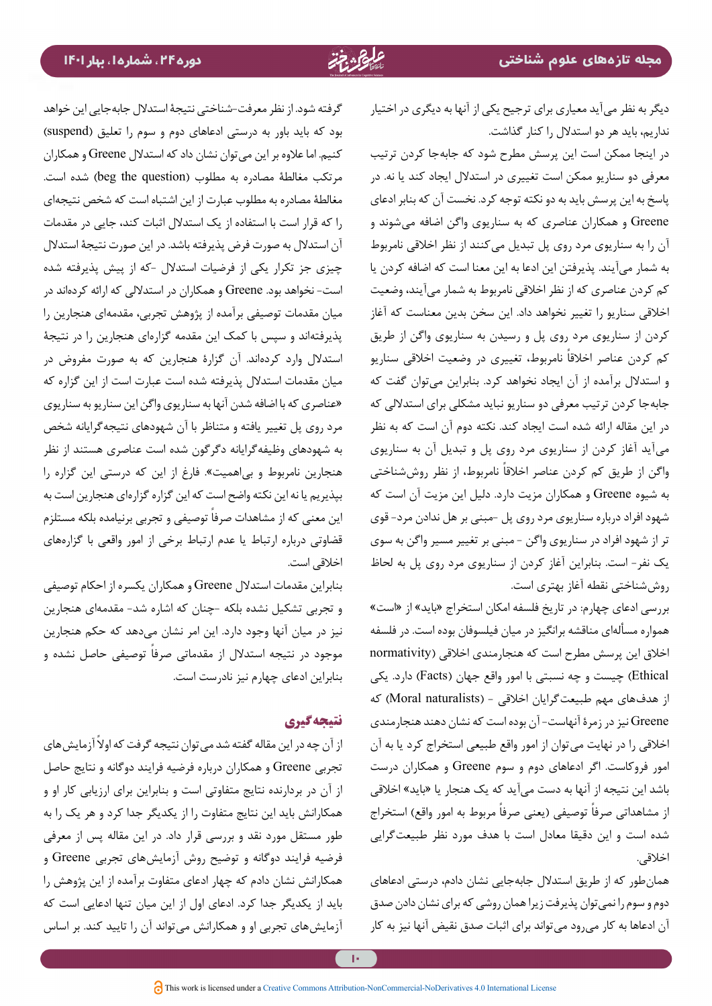دیگر به نظر میآید معیاری برای ترجیح یکی از آنها به دیگری در اختیار نداریم، باید هر دو استدالل را کنار گذاشت.

در اینجا ممکن است این پرسش مطرح شود که جابهجا کردن ترتیب معرفی دو سناریو ممکن است تغییری در استدالل ایجاد کند یا نه. در پاسخ به این پرسش باید به دو نکته توجه کرد. نخست آن که بنابر ادعای Greene و همکاران عناصری که به سناریوی واگن اضافه میشوند و آن را به سناریوی مرد روی پل تبدیل میکنند از نظر اخالقی نامربوط به شمار میآیند. پذیرفتن این ادعا به این معنا است که اضافه کردن یا کم کردن عناصری که از نظر اخالقی نامربوط به شمار میآیند، وضعیت اخالقی سناریو را تغییر نخواهد داد. این سخن بدین معناست که آغاز کردن از سناریوی مرد روی پل و رسیدن به سناریوی واگن از طریق کم کردن عناصر اخلاقاً نامربوط، تغییری در وضعیت اخلاقی سناریو و استدالل برآمده از آن ایجاد نخواهد کرد. بنابراین میتوان گفت که جابهجا کردن ترتیب معرفی دو سناریو نباید مشکلی برای استداللی که در این مقاله ارائه شده است ایجاد کند. نکته دوم آن است که به نظر میآید آغاز کردن از سناریوی مرد روی پل و تبدیل آن به سناریوی واگن از طریق کم کردن عناصر اخلاقاً نامربوط، از نظر روششناختی به شیوه Greene و همکاران مزیت دارد. دلیل این مزیت آن است که شهود افراد درباره سناریوی مرد روی پل -مبنی بر هل ندادن مرد- قوی تر از شهود افراد در سناریوی واگن - مبنی بر تغییر مسیر واگن به سوی یک نفر- است. بنابراین آغاز کردن از سناریوی مرد روی پل به لحاظ روششناختی نقطه آغاز بهتری است.

بررسی ادعای چهارم: در تاریخ فلسفه امکان استخراج »باید« از »است« همواره مسألهای مناقشه برانگیز در میان فیلسوفان بوده است. در فلسفه اخالق این پرسش مطرح است که هنجارمندی اخالقی )normativity Ethical )چیست و چه نسبتی با امور واقع جهان )Facts )دارد. یکی از هدفهای مهم طبیعتگرایان اخلاقی - (Moral naturalists) که Greene نیز در زمرة آنهاست- آن بوده است که نشان دهند هنجارمندی اخالقی را در نهایت میتوان از امور واقع طبیعی استخراج کرد یا به آن امور فروکاست. اگر ادعاهای دوم و سوم Greene و همکاران درست باشد این نتیجه از آنها به دست میآید که یک هنجار یا «باید» اخلاقی ز مشاهداتی صرفاً توصیفی (یعنی صرفاً مربوط به امور واقع) استخراج شده است و این دقیقا معادل است با هدف مورد نظر طبیعتگرایی اخالقی.

همانطور که از طریق استدالل جابهجایی نشان دادم، درستی ادعاهای دوم و سوم را نمیتوان پذیرفت زیرا همان روشی که برای نشان دادن صدق آن ادعاها به کار میرود میتواند برای اثبات صدق نقیض آنها نیز به کار

گرفته شود. از نظر معرفت-شناختی نتیجة استدالل جابهجایی این خواهد بود که باید باور به درستی ادعاهای دوم و سوم را تعلیق (suspend) کنیم. اما عالوه بر این میتوان نشان داد که استدالل Greene و همکاران مرتکب مغالطة مصادره به مطلوب (beg the question) شده است. مغالطة مصادره به مطلوب عبارت از این اشتباه است که شخص نتیجهای را که قرار است با استفاده از یک استدالل اثبات کند، جایی در مقدمات آن استدالل به صورت فرض پذیرفته باشد. در این صورت نتیجة استدالل چیزی جز تکرار یکی از فرضیات استدالل -که از پیش پذیرفته شده است- نخواهد بود. Greene و همکاران در استداللی که ارائه کردهاند در میان مقدمات توصیفی برآمده از پژوهش تجربی، مقدمهای هنجارین را پذیرفتهاند و سپس با کمک این مقدمه گزارهای هنجارین را در نتیجة استدالل وارد کردهاند. آن گزارة هنجارین که به صورت مفروض در میان مقدمات استدالل پذیرفته شده است عبارت است از این گزاره که »عناصری که با اضافه شدن آنها به سناریوی واگن این سناریو به سناریوی مرد روی پل تغییر یافته و متناظر با آن شهودهای نتیجهگرایانه شخص به شهودهای وظیفهگرایانه دگرگون شده است عناصری هستند از نظر هنجارین نامربوط و بیاهمیت«. فارغ از این که درستی این گزاره را بپذیریم یا نه این نکته واضح است که این گزاره گزارهای هنجارین است به این معنی که از مشاهدات صرفاً توصیفی و تجربی برنیامده بلکه مستلزم قضاوتی درباره ارتباط یا عدم ارتباط برخی از امور واقعی با گزارههای اخالقی است.

بنابراین مقدمات استدالل Greene و همکاران یکسره از احکام توصیفی و تجربی تشکیل نشده بلکه -چنان که اشاره شد- مقدمهای هنجارین نیز در میان آنها وجود دارد. این امر نشان میدهد که حکم هنجارین موجود در نتیجه استدلال از مقدماتی صرفاً توصیفی حاصل نشده و بنابراین ادعای چهارم نیز نادرست است.

## **نتیجهگیری**

از آن چه در این مقاله گفته شد می توان نتیجه گرفت که اولاً آزمایش های تجربی Greene و همکاران درباره فرضیه فرایند دوگانه و نتایج حاصل از آن در بردارنده نتایج متفاوتی است و بنابراین برای ارزیابی کار او و همکارانش باید این نتایج متفاوت را از یکدیگر جدا کرد و هر یک را به طور مستقل مورد نقد و بررسی قرار داد. در این مقاله پس از معرفی فرضیه فرایند دوگانه و توضیح روش آزمایشهای تجربی Greene و همکارانش نشان دادم که چهار ادعای متفاوت برآمده از این پژوهش را باید از یکدیگر جدا کرد. ادعای اول از این میان تنها ادعایی است که آزمایشهای تجربی او و همکارانش میتواند آن را تایید کند. بر اساس